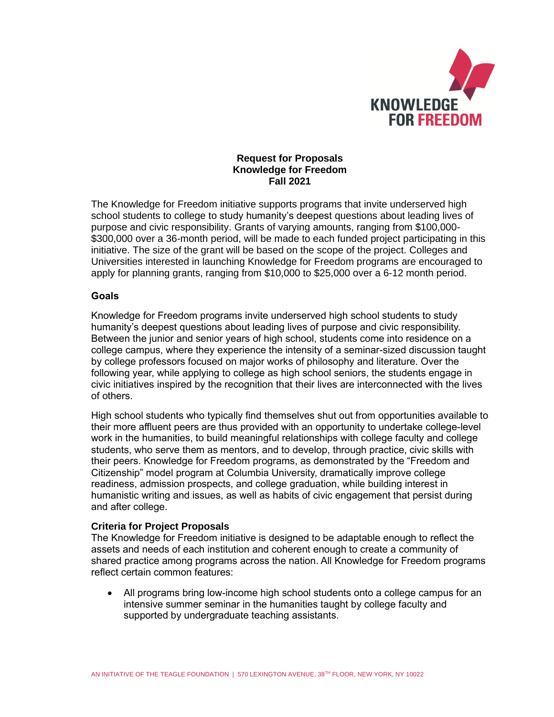

# **Request for Proposals Knowledge for Freedom Fall 2021**

The Knowledge for Freedom initiative supports programs that invite underserved high school students to college to study humanity's deepest questions about leading lives of purpose and civic responsibility. Grants of varying amounts, ranging from \$100,000- \$300,000 over a 36-month period, will be made to each funded project participating in this initiative. The size of the grant will be based on the scope of the project. Colleges and Universities interested in launching Knowledge for Freedom programs are encouraged to apply for planning grants, ranging from \$10,000 to \$25,000 over a 6-12 month period.

# **Goals**

Knowledge for Freedom programs invite underserved high school students to study humanity's deepest questions about leading lives of purpose and civic responsibility. Between the junior and senior years of high school, students come into residence on a college campus, where they experience the intensity of a seminar-sized discussion taught by college professors focused on major works of philosophy and literature. Over the following year, while applying to college as high school seniors, the students engage in civic initiatives inspired by the recognition that their lives are interconnected with the lives of others.

High school students who typically find themselves shut out from opportunities available to their more affluent peers are thus provided with an opportunity to undertake college-level work in the humanities, to build meaningful relationships with college faculty and college students, who serve them as mentors, and to develop, through practice, civic skills with their peers. Knowledge for Freedom programs, as demonstrated by the "Freedom and Citizenship" model program at Columbia University, dramatically improve college readiness, admission prospects, and college graduation, while building interest in humanistic writing and issues, as well as habits of civic engagement that persist during and after college.

#### **Criteria for Project Proposals**

The Knowledge for Freedom initiative is designed to be adaptable enough to reflect the assets and needs of each institution and coherent enough to create a community of shared practice among programs across the nation. All Knowledge for Freedom programs reflect certain common features:

All programs bring low-income high school students onto a college campus for an intensive summer seminar in the humanities taught by college faculty and supported by undergraduate teaching assistants.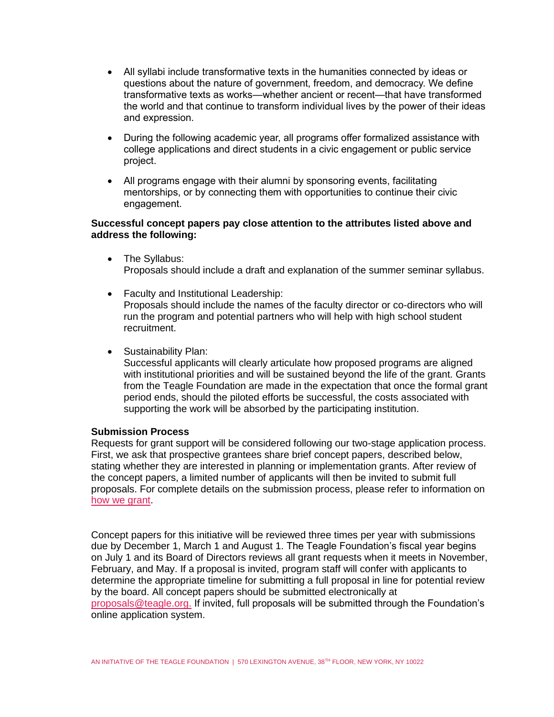- All syllabi include transformative texts in the humanities connected by ideas or questions about the nature of government, freedom, and democracy. We define transformative texts as works—whether ancient or recent—that have transformed the world and that continue to transform individual lives by the power of their ideas and expression.
- During the following academic year, all programs offer formalized assistance with college applications and direct students in a civic engagement or public service project.
- All programs engage with their alumni by sponsoring events, facilitating mentorships, or by connecting them with opportunities to continue their civic engagement.

# **Successful concept papers pay close attention to the attributes listed above and address the following:**

- The Syllabus: Proposals should include a draft and explanation of the summer seminar syllabus.
- Faculty and Institutional Leadership: Proposals should include the names of the faculty director or co-directors who will run the program and potential partners who will help with high school student recruitment.
- Sustainability Plan:

Successful applicants will clearly articulate how proposed programs are aligned with institutional priorities and will be sustained beyond the life of the grant. Grants from the Teagle Foundation are made in the expectation that once the formal grant period ends, should the piloted efforts be successful, the costs associated with supporting the work will be absorbed by the participating institution.

# **Submission Process**

Requests for grant support will be considered following our two-stage application process. First, we ask that prospective grantees share brief concept papers, described below, stating whether they are interested in planning or implementation grants. After review of the concept papers, a limited number of applicants will then be invited to submit full proposals. For complete details on the submission process, please refer to information on [how we grant.](http://www.teaglefoundation.org/How-We-Grant)

Concept papers for this initiative will be reviewed three times per year with submissions due by December 1, March 1 and August 1. The Teagle Foundation's fiscal year begins on July 1 and its Board of Directors reviews all grant requests when it meets in November, February, and May. If a proposal is invited, program staff will confer with applicants to determine the appropriate timeline for submitting a full proposal in line for potential review by the board. All concept papers should be submitted electronically at [proposals@teagle.org.](mailto:proposals@teagle.org) If invited, full proposals will be submitted through the Foundation's online application system.